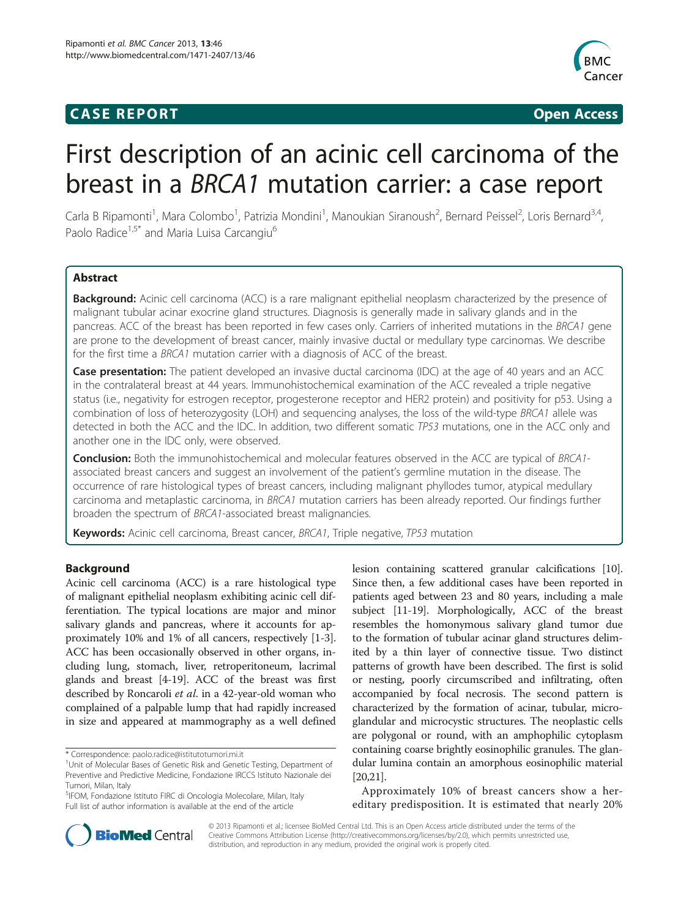# **CASE REPORT CASE REPORT** And the contract of the contract of the contract of the contract of the contract of the contract of the contract of the contract of the contract of the contract of the contract of the contract of



# First description of an acinic cell carcinoma of the breast in a BRCA1 mutation carrier: a case report

Carla B Ripamonti<sup>1</sup>, Mara Colombo<sup>1</sup>, Patrizia Mondini<sup>1</sup>, Manoukian Siranoush<sup>2</sup>, Bernard Peissel<sup>2</sup>, Loris Bernard<sup>3,4</sup>, Paolo Radice<sup>1,5\*</sup> and Maria Luisa Carcangiu<sup>6</sup>

# **Abstract**

Background: Acinic cell carcinoma (ACC) is a rare malignant epithelial neoplasm characterized by the presence of malignant tubular acinar exocrine gland structures. Diagnosis is generally made in salivary glands and in the pancreas. ACC of the breast has been reported in few cases only. Carriers of inherited mutations in the BRCA1 gene are prone to the development of breast cancer, mainly invasive ductal or medullary type carcinomas. We describe for the first time a BRCA1 mutation carrier with a diagnosis of ACC of the breast.

Case presentation: The patient developed an invasive ductal carcinoma (IDC) at the age of 40 years and an ACC in the contralateral breast at 44 years. Immunohistochemical examination of the ACC revealed a triple negative status (i.e., negativity for estrogen receptor, progesterone receptor and HER2 protein) and positivity for p53. Using a combination of loss of heterozygosity (LOH) and sequencing analyses, the loss of the wild-type BRCA1 allele was detected in both the ACC and the IDC. In addition, two different somatic TP53 mutations, one in the ACC only and another one in the IDC only, were observed.

**Conclusion:** Both the immunohistochemical and molecular features observed in the ACC are typical of BRCA1associated breast cancers and suggest an involvement of the patient's germline mutation in the disease. The occurrence of rare histological types of breast cancers, including malignant phyllodes tumor, atypical medullary carcinoma and metaplastic carcinoma, in BRCA1 mutation carriers has been already reported. Our findings further broaden the spectrum of BRCA1-associated breast malignancies.

Keywords: Acinic cell carcinoma, Breast cancer, BRCA1, Triple negative, TP53 mutation

### Background

Acinic cell carcinoma (ACC) is a rare histological type of malignant epithelial neoplasm exhibiting acinic cell differentiation. The typical locations are major and minor salivary glands and pancreas, where it accounts for approximately 10% and 1% of all cancers, respectively [\[1](#page-6-0)-[3](#page-6-0)]. ACC has been occasionally observed in other organs, including lung, stomach, liver, retroperitoneum, lacrimal glands and breast [\[4](#page-6-0)-[19](#page-6-0)]. ACC of the breast was first described by Roncaroli et al. in a 42-year-old woman who complained of a palpable lump that had rapidly increased in size and appeared at mammography as a well defined

5 IFOM, Fondazione Istituto FIRC di Oncologia Molecolare, Milan, Italy Full list of author information is available at the end of the article

lesion containing scattered granular calcifications [[10](#page-6-0)]. Since then, a few additional cases have been reported in patients aged between 23 and 80 years, including a male subject [\[11-19\]](#page-6-0). Morphologically, ACC of the breast resembles the homonymous salivary gland tumor due to the formation of tubular acinar gland structures delimited by a thin layer of connective tissue. Two distinct patterns of growth have been described. The first is solid or nesting, poorly circumscribed and infiltrating, often accompanied by focal necrosis. The second pattern is characterized by the formation of acinar, tubular, microglandular and microcystic structures. The neoplastic cells are polygonal or round, with an amphophilic cytoplasm containing coarse brightly eosinophilic granules. The glandular lumina contain an amorphous eosinophilic material [[20,21](#page-6-0)].

Approximately 10% of breast cancers show a hereditary predisposition. It is estimated that nearly 20%



© 2013 Ripamonti et al.; licensee BioMed Central Ltd. This is an Open Access article distributed under the terms of the Creative Commons Attribution License (<http://creativecommons.org/licenses/by/2.0>), which permits unrestricted use, distribution, and reproduction in any medium, provided the original work is properly cited.

<sup>\*</sup> Correspondence: [paolo.radice@istitutotumori.mi.it](mailto:paolo.radice@istitutotumori.mi.it) <sup>1</sup>

<sup>&</sup>lt;sup>1</sup>Unit of Molecular Bases of Genetic Risk and Genetic Testing, Department of Preventive and Predictive Medicine, Fondazione IRCCS Istituto Nazionale dei Tumori, Milan, Italy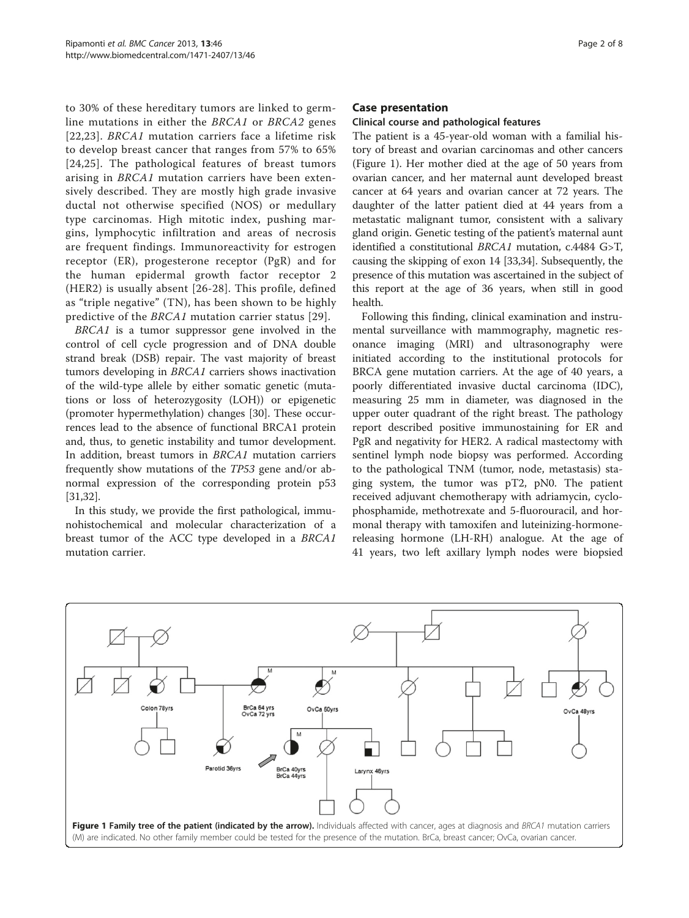to 30% of these hereditary tumors are linked to germline mutations in either the BRCA1 or BRCA2 genes [[22](#page-6-0),[23](#page-6-0)]. BRCA1 mutation carriers face a lifetime risk to develop breast cancer that ranges from 57% to 65% [[24](#page-6-0),[25](#page-6-0)]. The pathological features of breast tumors arising in BRCA1 mutation carriers have been extensively described. They are mostly high grade invasive ductal not otherwise specified (NOS) or medullary type carcinomas. High mitotic index, pushing margins, lymphocytic infiltration and areas of necrosis are frequent findings. Immunoreactivity for estrogen receptor (ER), progesterone receptor (PgR) and for the human epidermal growth factor receptor 2 (HER2) is usually absent [\[26-28\]](#page-6-0). This profile, defined as "triple negative" (TN), has been shown to be highly predictive of the BRCA1 mutation carrier status [[29](#page-6-0)].

BRCA1 is a tumor suppressor gene involved in the control of cell cycle progression and of DNA double strand break (DSB) repair. The vast majority of breast tumors developing in BRCA1 carriers shows inactivation of the wild-type allele by either somatic genetic (mutations or loss of heterozygosity (LOH)) or epigenetic (promoter hypermethylation) changes [\[30](#page-6-0)]. These occurrences lead to the absence of functional BRCA1 protein and, thus, to genetic instability and tumor development. In addition, breast tumors in BRCA1 mutation carriers frequently show mutations of the TP53 gene and/or abnormal expression of the corresponding protein p53 [[31,32\]](#page-6-0).

In this study, we provide the first pathological, immunohistochemical and molecular characterization of a breast tumor of the ACC type developed in a BRCA1 mutation carrier.

# Case presentation

# Clinical course and pathological features

The patient is a 45-year-old woman with a familial history of breast and ovarian carcinomas and other cancers (Figure 1). Her mother died at the age of 50 years from ovarian cancer, and her maternal aunt developed breast cancer at 64 years and ovarian cancer at 72 years. The daughter of the latter patient died at 44 years from a metastatic malignant tumor, consistent with a salivary gland origin. Genetic testing of the patient's maternal aunt identified a constitutional BRCA1 mutation, c.4484 G>T, causing the skipping of exon 14 [\[33,34\]](#page-6-0). Subsequently, the presence of this mutation was ascertained in the subject of this report at the age of 36 years, when still in good health.

Following this finding, clinical examination and instrumental surveillance with mammography, magnetic resonance imaging (MRI) and ultrasonography were initiated according to the institutional protocols for BRCA gene mutation carriers. At the age of 40 years, a poorly differentiated invasive ductal carcinoma (IDC), measuring 25 mm in diameter, was diagnosed in the upper outer quadrant of the right breast. The pathology report described positive immunostaining for ER and PgR and negativity for HER2. A radical mastectomy with sentinel lymph node biopsy was performed. According to the pathological TNM (tumor, node, metastasis) staging system, the tumor was pT2, pN0. The patient received adjuvant chemotherapy with adriamycin, cyclophosphamide, methotrexate and 5-fluorouracil, and hormonal therapy with tamoxifen and luteinizing-hormonereleasing hormone (LH-RH) analogue. At the age of 41 years, two left axillary lymph nodes were biopsied

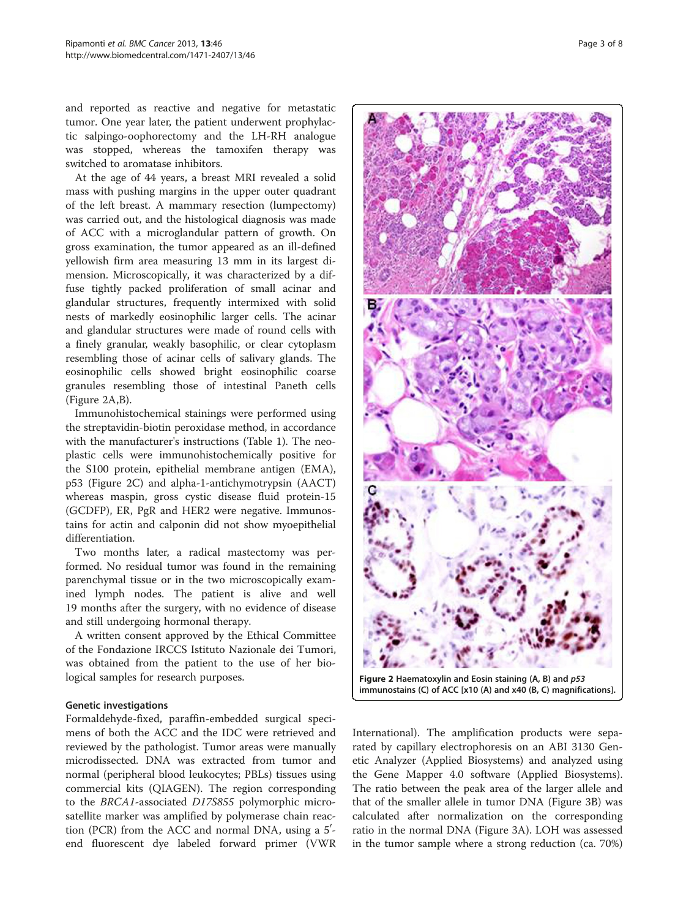and reported as reactive and negative for metastatic tumor. One year later, the patient underwent prophylactic salpingo-oophorectomy and the LH-RH analogue was stopped, whereas the tamoxifen therapy was switched to aromatase inhibitors.

At the age of 44 years, a breast MRI revealed a solid mass with pushing margins in the upper outer quadrant of the left breast. A mammary resection (lumpectomy) was carried out, and the histological diagnosis was made of ACC with a microglandular pattern of growth. On gross examination, the tumor appeared as an ill-defined yellowish firm area measuring 13 mm in its largest dimension. Microscopically, it was characterized by a diffuse tightly packed proliferation of small acinar and glandular structures, frequently intermixed with solid nests of markedly eosinophilic larger cells. The acinar and glandular structures were made of round cells with a finely granular, weakly basophilic, or clear cytoplasm resembling those of acinar cells of salivary glands. The eosinophilic cells showed bright eosinophilic coarse granules resembling those of intestinal Paneth cells (Figure 2A,B).

Immunohistochemical stainings were performed using the streptavidin-biotin peroxidase method, in accordance with the manufacturer's instructions (Table [1\)](#page-3-0). The neoplastic cells were immunohistochemically positive for the S100 protein, epithelial membrane antigen (EMA), p53 (Figure 2C) and alpha-1-antichymotrypsin (AACT) whereas maspin, gross cystic disease fluid protein-15 (GCDFP), ER, PgR and HER2 were negative. Immunostains for actin and calponin did not show myoepithelial differentiation.

Two months later, a radical mastectomy was performed. No residual tumor was found in the remaining parenchymal tissue or in the two microscopically examined lymph nodes. The patient is alive and well 19 months after the surgery, with no evidence of disease and still undergoing hormonal therapy.

A written consent approved by the Ethical Committee of the Fondazione IRCCS Istituto Nazionale dei Tumori, was obtained from the patient to the use of her biological samples for research purposes.

# Genetic investigations

Formaldehyde-fixed, paraffin-embedded surgical specimens of both the ACC and the IDC were retrieved and reviewed by the pathologist. Tumor areas were manually microdissected. DNA was extracted from tumor and normal (peripheral blood leukocytes; PBLs) tissues using commercial kits (QIAGEN). The region corresponding to the BRCA1-associated D17S855 polymorphic microsatellite marker was amplified by polymerase chain reaction (PCR) from the ACC and normal DNA, using a  $5'$ end fluorescent dye labeled forward primer (VWR

Figure 2 Haematoxylin and Eosin staining (A, B) and  $p53$ immunostains (C) of ACC [x10 (A) and x40 (B, C) magnifications].

International). The amplification products were separated by capillary electrophoresis on an ABI 3130 Genetic Analyzer (Applied Biosystems) and analyzed using the Gene Mapper 4.0 software (Applied Biosystems). The ratio between the peak area of the larger allele and that of the smaller allele in tumor DNA (Figure [3](#page-3-0)B) was calculated after normalization on the corresponding ratio in the normal DNA (Figure [3A](#page-3-0)). LOH was assessed in the tumor sample where a strong reduction (ca. 70%)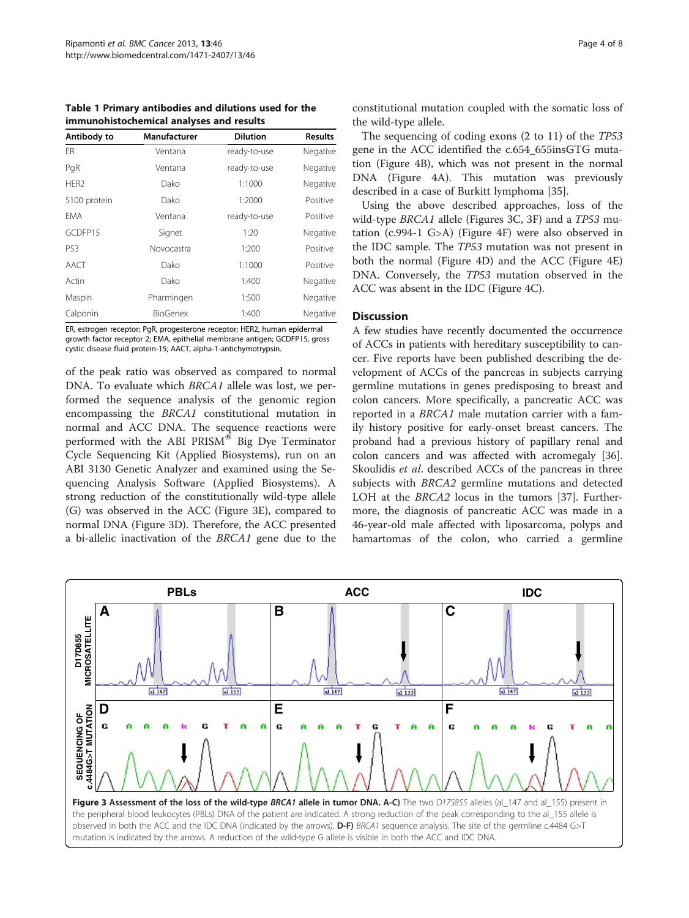<span id="page-3-0"></span>Table 1 Primary antibodies and dilutions used for the immunohistochemical analyses and results

| Antibody to      | Manufacturer    | <b>Dilution</b> | <b>Results</b> |
|------------------|-----------------|-----------------|----------------|
| <b>FR</b>        | Ventana         | ready-to-use    | Negative       |
| PgR              | Ventana         | ready-to-use    | Negative       |
| HER <sub>2</sub> | Dako            | 1:1000          | Negative       |
| S100 protein     | Dako            | 1:2000          | Positive       |
| <b>EMA</b>       | Ventana         | ready-to-use    | Positive       |
| GCDFP15          | Signet          | 1:20            | Negative       |
| P <sub>53</sub>  | Novocastra      | 1:200           | Positive       |
| AACT             | Dako            | 1:1000          | Positive       |
| Actin            | Dako            | 1:400           | Negative       |
| Maspin           | Pharmingen      | 1:500           | Negative       |
| Calponin         | <b>BioGenex</b> | 1:400           | Negative       |

ER, estrogen receptor; PgR, progesterone receptor; HER2, human epidermal growth factor receptor 2; EMA, epithelial membrane antigen; GCDFP15, gross cystic disease fluid protein-15; AACT, alpha-1-antichymotrypsin.

of the peak ratio was observed as compared to normal DNA. To evaluate which BRCA1 allele was lost, we performed the sequence analysis of the genomic region encompassing the BRCA1 constitutional mutation in normal and ACC DNA. The sequence reactions were performed with the ABI PRISM® Big Dye Terminator Cycle Sequencing Kit (Applied Biosystems), run on an ABI 3130 Genetic Analyzer and examined using the Sequencing Analysis Software (Applied Biosystems). A strong reduction of the constitutionally wild-type allele (G) was observed in the ACC (Figure 3E), compared to normal DNA (Figure 3D). Therefore, the ACC presented a bi-allelic inactivation of the BRCA1 gene due to the constitutional mutation coupled with the somatic loss of the wild-type allele.

The sequencing of coding exons (2 to 11) of the TP53 gene in the ACC identified the c.654\_655insGTG mutation (Figure [4B](#page-4-0)), which was not present in the normal DNA (Figure [4A](#page-4-0)). This mutation was previously described in a case of Burkitt lymphoma [[35](#page-6-0)].

Using the above described approaches, loss of the wild-type BRCA1 allele (Figures 3C, 3F) and a TP53 mutation (c.994-1 G>A) (Figure [4](#page-4-0)F) were also observed in the IDC sample. The TP53 mutation was not present in both the normal (Figure [4](#page-4-0)D) and the ACC (Figure [4E](#page-4-0)) DNA. Conversely, the TP53 mutation observed in the ACC was absent in the IDC (Figure [4C](#page-4-0)).

# Discussion

A few studies have recently documented the occurrence of ACCs in patients with hereditary susceptibility to cancer. Five reports have been published describing the development of ACCs of the pancreas in subjects carrying germline mutations in genes predisposing to breast and colon cancers. More specifically, a pancreatic ACC was reported in a BRCA1 male mutation carrier with a family history positive for early-onset breast cancers. The proband had a previous history of papillary renal and colon cancers and was affected with acromegaly [\[36](#page-6-0)]. Skoulidis et al. described ACCs of the pancreas in three subjects with BRCA2 germline mutations and detected LOH at the BRCA2 locus in the tumors [\[37\]](#page-6-0). Furthermore, the diagnosis of pancreatic ACC was made in a 46-year-old male affected with liposarcoma, polyps and hamartomas of the colon, who carried a germline

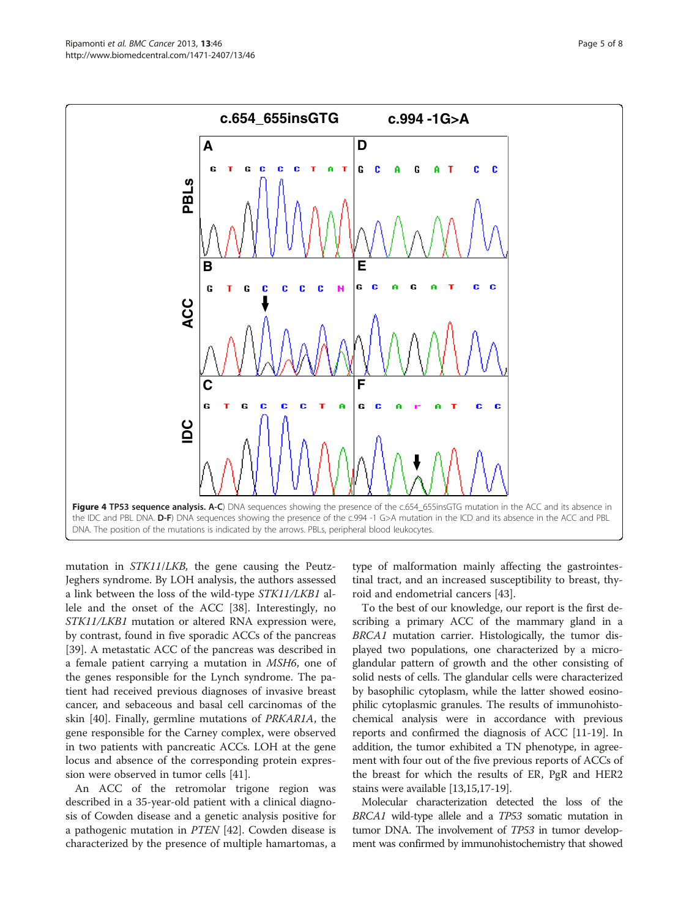mutation in STK11/LKB, the gene causing the Peutz-Jeghers syndrome. By LOH analysis, the authors assessed a link between the loss of the wild-type STK11/LKB1 allele and the onset of the ACC [\[38](#page-7-0)]. Interestingly, no STK11/LKB1 mutation or altered RNA expression were, by contrast, found in five sporadic ACCs of the pancreas [[39\]](#page-7-0). A metastatic ACC of the pancreas was described in a female patient carrying a mutation in MSH6, one of the genes responsible for the Lynch syndrome. The patient had received previous diagnoses of invasive breast cancer, and sebaceous and basal cell carcinomas of the skin [\[40](#page-7-0)]. Finally, germline mutations of PRKAR1A, the gene responsible for the Carney complex, were observed in two patients with pancreatic ACCs. LOH at the gene locus and absence of the corresponding protein expression were observed in tumor cells [\[41](#page-7-0)].

An ACC of the retromolar trigone region was described in a 35-year-old patient with a clinical diagnosis of Cowden disease and a genetic analysis positive for a pathogenic mutation in PTEN [\[42](#page-7-0)]. Cowden disease is characterized by the presence of multiple hamartomas, a

type of malformation mainly affecting the gastrointestinal tract, and an increased susceptibility to breast, thyroid and endometrial cancers [[43\]](#page-7-0).

To the best of our knowledge, our report is the first describing a primary ACC of the mammary gland in a BRCA1 mutation carrier. Histologically, the tumor displayed two populations, one characterized by a microglandular pattern of growth and the other consisting of solid nests of cells. The glandular cells were characterized by basophilic cytoplasm, while the latter showed eosinophilic cytoplasmic granules. The results of immunohistochemical analysis were in accordance with previous reports and confirmed the diagnosis of ACC [\[11-19\]](#page-6-0). In addition, the tumor exhibited a TN phenotype, in agreement with four out of the five previous reports of ACCs of the breast for which the results of ER, PgR and HER2 stains were available [\[13,15,17](#page-6-0)-[19](#page-6-0)].

Molecular characterization detected the loss of the BRCA1 wild-type allele and a TP53 somatic mutation in tumor DNA. The involvement of TP53 in tumor development was confirmed by immunohistochemistry that showed

<span id="page-4-0"></span>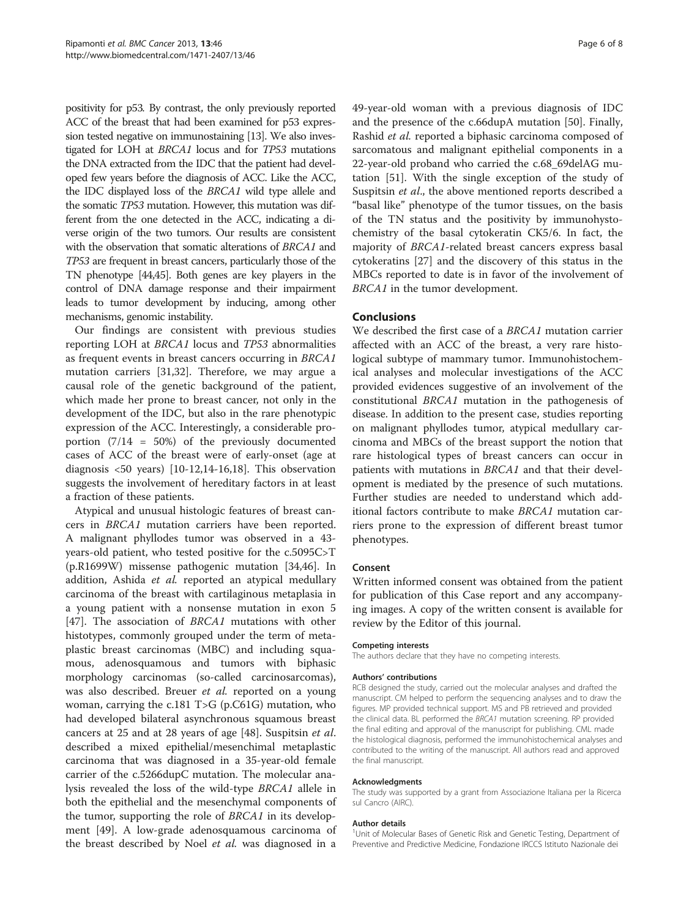positivity for p53. By contrast, the only previously reported ACC of the breast that had been examined for p53 expression tested negative on immunostaining [[13\]](#page-6-0). We also investigated for LOH at BRCA1 locus and for TP53 mutations the DNA extracted from the IDC that the patient had developed few years before the diagnosis of ACC. Like the ACC, the IDC displayed loss of the BRCA1 wild type allele and the somatic TP53 mutation. However, this mutation was different from the one detected in the ACC, indicating a diverse origin of the two tumors. Our results are consistent with the observation that somatic alterations of BRCA1 and TP53 are frequent in breast cancers, particularly those of the TN phenotype [[44,45](#page-7-0)]. Both genes are key players in the control of DNA damage response and their impairment leads to tumor development by inducing, among other mechanisms, genomic instability.

Our findings are consistent with previous studies reporting LOH at BRCA1 locus and TP53 abnormalities as frequent events in breast cancers occurring in BRCA1 mutation carriers [[31](#page-6-0),[32](#page-6-0)]. Therefore, we may argue a causal role of the genetic background of the patient, which made her prone to breast cancer, not only in the development of the IDC, but also in the rare phenotypic expression of the ACC. Interestingly, a considerable proportion (7/14 = 50%) of the previously documented cases of ACC of the breast were of early-onset (age at diagnosis <50 years) [[10-12,14](#page-6-0)-[16,18\]](#page-6-0). This observation suggests the involvement of hereditary factors in at least a fraction of these patients.

Atypical and unusual histologic features of breast cancers in BRCA1 mutation carriers have been reported. A malignant phyllodes tumor was observed in a 43 years-old patient, who tested positive for the c.5095C>T (p.R1699W) missense pathogenic mutation [\[34](#page-6-0)[,46](#page-7-0)]. In addition, Ashida et al. reported an atypical medullary carcinoma of the breast with cartilaginous metaplasia in a young patient with a nonsense mutation in exon 5 [[47\]](#page-7-0). The association of *BRCA1* mutations with other histotypes, commonly grouped under the term of metaplastic breast carcinomas (MBC) and including squamous, adenosquamous and tumors with biphasic morphology carcinomas (so-called carcinosarcomas), was also described. Breuer et al. reported on a young woman, carrying the c.181 T>G (p.C61G) mutation, who had developed bilateral asynchronous squamous breast cancers at 25 and at 28 years of age [\[48](#page-7-0)]. Suspitsin et al. described a mixed epithelial/mesenchimal metaplastic carcinoma that was diagnosed in a 35-year-old female carrier of the c.5266dupC mutation. The molecular analysis revealed the loss of the wild-type BRCA1 allele in both the epithelial and the mesenchymal components of the tumor, supporting the role of BRCA1 in its development [\[49\]](#page-7-0). A low-grade adenosquamous carcinoma of the breast described by Noel et al. was diagnosed in a

49-year-old woman with a previous diagnosis of IDC and the presence of the c.66dupA mutation [\[50\]](#page-7-0). Finally, Rashid et al. reported a biphasic carcinoma composed of sarcomatous and malignant epithelial components in a 22-year-old proband who carried the c.68\_69delAG mutation [[51](#page-7-0)]. With the single exception of the study of Suspitsin *et al.*, the above mentioned reports described a "basal like" phenotype of the tumor tissues, on the basis of the TN status and the positivity by immunohystochemistry of the basal cytokeratin CK5/6. In fact, the majority of BRCA1-related breast cancers express basal cytokeratins [\[27\]](#page-6-0) and the discovery of this status in the MBCs reported to date is in favor of the involvement of BRCA1 in the tumor development.

# Conclusions

We described the first case of a BRCA1 mutation carrier affected with an ACC of the breast, a very rare histological subtype of mammary tumor. Immunohistochemical analyses and molecular investigations of the ACC provided evidences suggestive of an involvement of the constitutional BRCA1 mutation in the pathogenesis of disease. In addition to the present case, studies reporting on malignant phyllodes tumor, atypical medullary carcinoma and MBCs of the breast support the notion that rare histological types of breast cancers can occur in patients with mutations in BRCA1 and that their development is mediated by the presence of such mutations. Further studies are needed to understand which additional factors contribute to make BRCA1 mutation carriers prone to the expression of different breast tumor phenotypes.

#### Consent

Written informed consent was obtained from the patient for publication of this Case report and any accompanying images. A copy of the written consent is available for review by the Editor of this journal.

#### Competing interests

The authors declare that they have no competing interests.

#### Authors' contributions

RCB designed the study, carried out the molecular analyses and drafted the manuscript. CM helped to perform the sequencing analyses and to draw the figures. MP provided technical support. MS and PB retrieved and provided the clinical data. BL performed the BRCA1 mutation screening. RP provided the final editing and approval of the manuscript for publishing. CML made the histological diagnosis, performed the immunohistochemical analyses and contributed to the writing of the manuscript. All authors read and approved the final manuscript.

#### Acknowledgments

The study was supported by a grant from Associazione Italiana per la Ricerca sul Cancro (AIRC)

#### Author details

<sup>1</sup>Unit of Molecular Bases of Genetic Risk and Genetic Testing, Department of Preventive and Predictive Medicine, Fondazione IRCCS Istituto Nazionale dei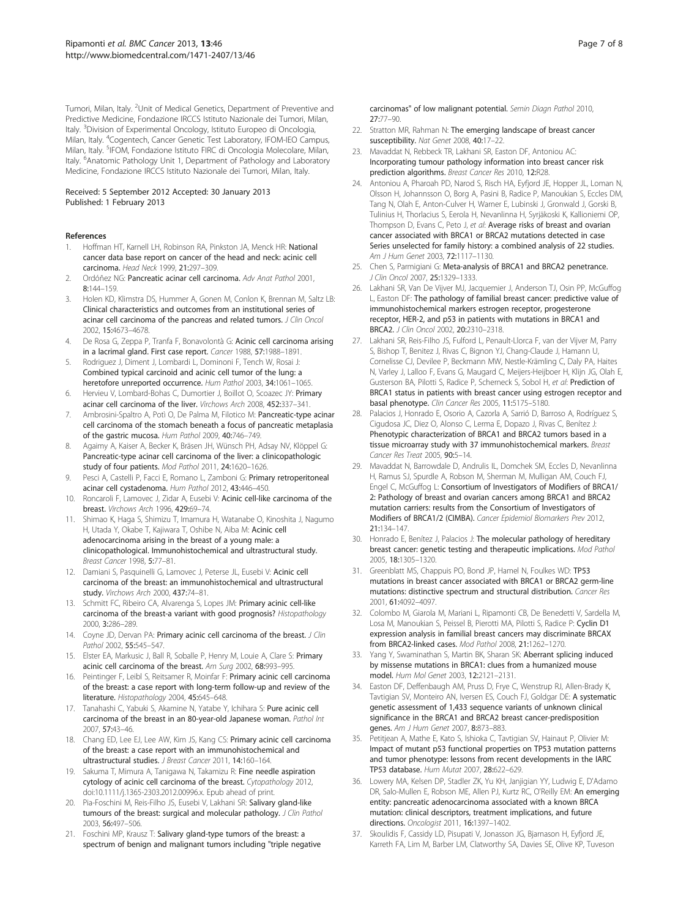<span id="page-6-0"></span>Tumori, Milan, Italy. <sup>2</sup>Unit of Medical Genetics, Department of Preventive and Predictive Medicine, Fondazione IRCCS Istituto Nazionale dei Tumori, Milan, Italy. <sup>3</sup>Division of Experimental Oncology, Istituto Europeo di Oncologia, Milan, Italy. <sup>4</sup>Cogentech, Cancer Genetic Test Laboratory, IFOM-IEO Campus, Milan, Italy. <sup>5</sup>IFOM, Fondazione Istituto FIRC di Oncologia Molecolare, Milan, Italy. <sup>6</sup> Anatomic Pathology Unit 1, Department of Pathology and Laboratory Medicine, Fondazione IRCCS Istituto Nazionale dei Tumori, Milan, Italy.

#### Received: 5 September 2012 Accepted: 30 January 2013 Published: 1 February 2013

#### References

- 1. Hoffman HT, Karnell LH, Robinson RA, Pinkston JA, Menck HR: National cancer data base report on cancer of the head and neck: acinic cell carcinoma. Head Neck 1999, 21:297–309.
- 2. Ordóñez NG: Pancreatic acinar cell carcinoma. Adv Anat Pathol 2001. 8:144–159.
- Holen KD, Klimstra DS, Hummer A, Gonen M, Conlon K, Brennan M, Saltz LB: Clinical characteristics and outcomes from an institutional series of acinar cell carcinoma of the pancreas and related tumors. J Clin Oncol 2002, 15:4673–4678.
- 4. De Rosa G, Zeppa P, Tranfa F, Bonavolontà G: Acinic cell carcinoma arising in a lacrimal gland. First case report. Cancer 1988, 57:1988–1891.
- 5. Rodriguez J, Diment J, Lombardi L, Dominoni F, Tench W, Rosai J: Combined typical carcinoid and acinic cell tumor of the lung: a heretofore unreported occurrence. Hum Pathol 2003, 34:1061–1065.
- 6. Hervieu V, Lombard-Bohas C, Dumortier J, Boillot O, Scoazec JY: Primary acinar cell carcinoma of the liver. Virchows Arch 2008, 452:337–341.
- 7. Ambrosini-Spaltro A, Potì O, De Palma M, Filotico M: Pancreatic-type acinar cell carcinoma of the stomach beneath a focus of pancreatic metaplasia of the gastric mucosa. Hum Pathol 2009, 40:746–749.
- 8. Agaimy A, Kaiser A, Becker K, Bräsen JH, Wünsch PH, Adsay NV, Klöppel G: Pancreatic-type acinar cell carcinoma of the liver: a clinicopathologic study of four patients. Mod Pathol 2011, 24:1620–1626.
- 9. Pesci A, Castelli P, Facci E, Romano L, Zamboni G: Primary retroperitoneal acinar cell cystadenoma. Hum Pathol 2012, 43:446–450.
- 10. Roncaroli F, Lamovec J, Zidar A, Eusebi V: Acinic cell-like carcinoma of the breast. Virchows Arch 1996, 429:69–74.
- 11. Shimao K, Haga S, Shimizu T, Imamura H, Watanabe O, Kinoshita J, Nagumo H, Utada Y, Okabe T, Kajiwara T, Oshibe N, Aiba M: Acinic cell adenocarcinoma arising in the breast of a young male: a clinicopathological. Immunohistochemical and ultrastructural study. Breast Cancer 1998, 5:77–81.
- 12. Damiani S, Pasquinelli G, Lamovec J, Peterse JL, Eusebi V: Acinic cell carcinoma of the breast: an immunohistochemical and ultrastructural study. Virchows Arch 2000, 437:74–81.
- 13. Schmitt FC, Ribeiro CA, Alvarenga S, Lopes JM: Primary acinic cell-like carcinoma of the breast-a variant with good prognosis? Histopathology 2000, 3:286–289.
- 14. Coyne JD, Dervan PA: Primary acinic cell carcinoma of the breast. J Clin Pathol 2002, 55:545-547.
- 15. Elster EA, Markusic J, Ball R, Soballe P, Henry M, Louie A, Clare S: Primary acinic cell carcinoma of the breast. Am Surg 2002, 68:993-995.
- 16. Peintinger F, Leibl S, Reitsamer R, Moinfar F: Primary acinic cell carcinoma of the breast: a case report with long-term follow-up and review of the literature. Histopathology 2004, 45:645–648.
- 17. Tanahashi C, Yabuki S, Akamine N, Yatabe Y, Ichihara S: Pure acinic cell carcinoma of the breast in an 80-year-old Japanese woman. Pathol Int 2007, 57:43–46.
- 18. Chang ED, Lee EJ, Lee AW, Kim JS, Kang CS: Primary acinic cell carcinoma of the breast: a case report with an immunohistochemical and ultrastructural studies. J Breast Cancer 2011, 14:160-164
- 19. Sakuma T, Mimura A, Tanigawa N, Takamizu R: Fine needle aspiration cytology of acinic cell carcinoma of the breast. Cytopathology 2012, doi[:10.1111/j.1365-2303.2012.00996.x](http://dx.doi.org/10.1111/j.1365-2303.2012.00996.x). Epub ahead of print.
- 20. Pia-Foschini M, Reis-Filho JS, Eusebi V, Lakhani SR: Salivary gland-like tumours of the breast: surgical and molecular pathology. J Clin Pathol 2003, 56:497–506.
- 21. Foschini MP, Krausz T: Salivary gland-type tumors of the breast: a spectrum of benign and malignant tumors including "triple negative

carcinomas" of low malignant potential. Semin Diagn Pathol 2010, 27:77–90.

- 22. Stratton MR, Rahman N: The emerging landscape of breast cancer susceptibility. Nat Genet 2008, 40:17–22.
- 23. Mavaddat N, Rebbeck TR, Lakhani SR, Easton DF, Antoniou AC: Incorporating tumour pathology information into breast cancer risk prediction algorithms. Breast Cancer Res 2010, 12:R28.
- Antoniou A, Pharoah PD, Narod S, Risch HA, Eyfjord JE, Hopper JL, Loman N, Olsson H, Johannsson O, Borg A, Pasini B, Radice P, Manoukian S, Eccles DM, Tang N, Olah E, Anton-Culver H, Warner E, Lubinski J, Gronwald J, Gorski B, Tulinius H, Thorlacius S, Eerola H, Nevanlinna H, Syrjäkoski K, Kallioniemi OP, Thompson D, Evans C, Peto J, et al: Average risks of breast and ovarian cancer associated with BRCA1 or BRCA2 mutations detected in case Series unselected for family history: a combined analysis of 22 studies. Am J Hum Genet 2003, 72:1117-1130.
- 25. Chen S, Parmigiani G: Meta-analysis of BRCA1 and BRCA2 penetrance. J Clin Oncol 2007, 25:1329–1333.
- 26. Lakhani SR, Van De Vijver MJ, Jacquemier J, Anderson TJ, Osin PP, McGuffog L, Easton DF: The pathology of familial breast cancer: predictive value of immunohistochemical markers estrogen receptor, progesterone receptor, HER-2, and p53 in patients with mutations in BRCA1 and BRCA2. J Clin Oncol 2002, 20:2310–2318.
- 27. Lakhani SR, Reis-Filho JS, Fulford L, Penault-Llorca F, van der Vijver M, Parry S, Bishop T, Benitez J, Rivas C, Bignon YJ, Chang-Claude J, Hamann U, Cornelisse CJ, Devilee P, Beckmann MW, Nestle-Krämling C, Daly PA, Haites N, Varley J, Lalloo F, Evans G, Maugard C, Meijers-Heijboer H, Klijn JG, Olah E, Gusterson BA, Pilotti S, Radice P, Scherneck S, Sobol H, et al: Prediction of BRCA1 status in patients with breast cancer using estrogen receptor and basal phenotype. Clin Cancer Res 2005, 11:5175–5180.
- 28. Palacios J, Honrado E, Osorio A, Cazorla A, Sarrió D, Barroso A, Rodríguez S, Cigudosa JC, Diez O, Alonso C, Lerma E, Dopazo J, Rivas C, Benítez J: Phenotypic characterization of BRCA1 and BRCA2 tumors based in a tissue microarray study with 37 immunohistochemical markers. Breast Cancer Res Treat 2005, 90:5–14.
- 29. Mavaddat N, Barrowdale D, Andrulis IL, Domchek SM, Eccles D, Nevanlinna H, Ramus SJ, Spurdle A, Robson M, Sherman M, Mulligan AM, Couch FJ, Engel C, McGuffog L: Consortium of Investigators of Modifiers of BRCA1/ 2: Pathology of breast and ovarian cancers among BRCA1 and BRCA2 mutation carriers: results from the Consortium of Investigators of Modifiers of BRCA1/2 (CIMBA). Cancer Epidemiol Biomarkers Prev 2012, 21:134–147.
- 30. Honrado E, Benítez J, Palacios J: The molecular pathology of hereditary breast cancer: genetic testing and therapeutic implications. Mod Pathol 2005, 18:1305–1320.
- 31. Greenblatt MS, Chappuis PO, Bond JP, Hamel N, Foulkes WD: TP53 mutations in breast cancer associated with BRCA1 or BRCA2 germ-line mutations: distinctive spectrum and structural distribution. Cancer Res 2001, 61:4092–4097.
- 32. Colombo M, Giarola M, Mariani L, Ripamonti CB, De Benedetti V, Sardella M, Losa M, Manoukian S, Peissel B, Pierotti MA, Pilotti S, Radice P: Cyclin D1 expression analysis in familial breast cancers may discriminate BRCAX from BRCA2-linked cases. Mod Pathol 2008, 21:1262–1270.
- Yang Y, Swaminathan S, Martin BK, Sharan SK: Aberrant splicing induced by missense mutations in BRCA1: clues from a humanized mouse model. Hum Mol Genet 2003, 12:2121–2131.
- 34. Easton DF, Deffenbaugh AM, Pruss D, Frye C, Wenstrup RJ, Allen-Brady K, Tavtigian SV, Monteiro AN, Iversen ES, Couch FJ, Goldgar DE: A systematic genetic assessment of 1,433 sequence variants of unknown clinical significance in the BRCA1 and BRCA2 breast cancer-predisposition genes. Am J Hum Genet 2007, 8:873-883.
- 35. Petitjean A, Mathe E, Kato S, Ishioka C, Tavtigian SV, Hainaut P, Olivier M: Impact of mutant p53 functional properties on TP53 mutation patterns and tumor phenotype: lessons from recent developments in the IARC TP53 database. Hum Mutat 2007, 28:622–629.
- 36. Lowery MA, Kelsen DP, Stadler ZK, Yu KH, Janjigian YY, Ludwig E, D'Adamo DR, Salo-Mullen E, Robson ME, Allen PJ, Kurtz RC, O'Reilly EM: An emerging entity: pancreatic adenocarcinoma associated with a known BRCA mutation: clinical descriptors, treatment implications, and future directions. Oncologist 2011, 16:1397–1402.
- 37. Skoulidis F, Cassidy LD, Pisupati V, Jonasson JG, Bjarnason H, Eyfjord JE, Karreth FA, Lim M, Barber LM, Clatworthy SA, Davies SE, Olive KP, Tuveson